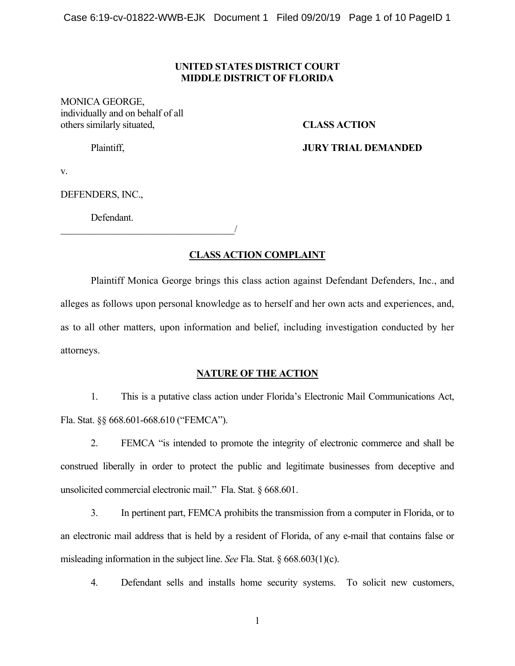#### **UNITED STATES DISTRICT COURT MIDDLE DISTRICT OF FLORIDA**

MONICA GEORGE, individually and on behalf of all others similarly situated, **CLASS ACTION** 

### Plaintiff, **JURY TRIAL DEMANDED**

v.

DEFENDERS, INC.,

Defendant.

 $\overline{\phantom{a}}$ 

## **CLASS ACTION COMPLAINT**

Plaintiff Monica George brings this class action against Defendant Defenders, Inc., and alleges as follows upon personal knowledge as to herself and her own acts and experiences, and, as to all other matters, upon information and belief, including investigation conducted by her attorneys.

#### **NATURE OF THE ACTION**

1. This is a putative class action under Florida's Electronic Mail Communications Act, Fla. Stat. §§ 668.601-668.610 ("FEMCA").

2. FEMCA "is intended to promote the integrity of electronic commerce and shall be construed liberally in order to protect the public and legitimate businesses from deceptive and unsolicited commercial electronic mail." Fla. Stat. § 668.601.

3. In pertinent part, FEMCA prohibits the transmission from a computer in Florida, or to an electronic mail address that is held by a resident of Florida, of any e-mail that contains false or misleading information in the subject line. *See* Fla. Stat. § 668.603(1)(c).

4. Defendant sells and installs home security systems. To solicit new customers,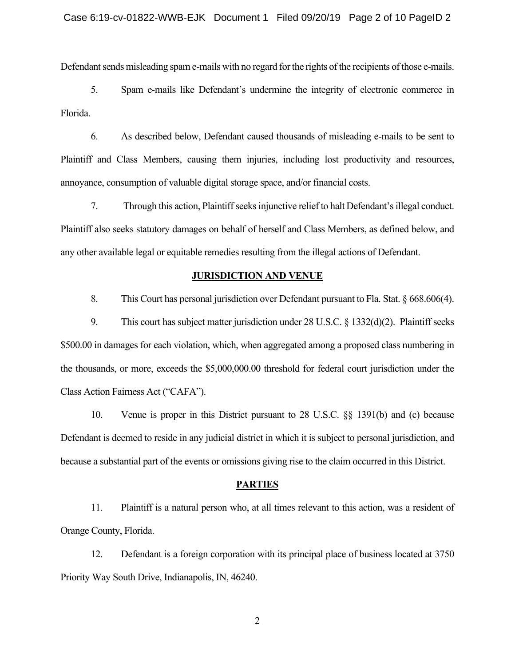Defendant sends misleading spam e-mails with no regard for the rights of the recipients of those e-mails.

5. Spam e-mails like Defendant's undermine the integrity of electronic commerce in Florida.

6. As described below, Defendant caused thousands of misleading e-mails to be sent to Plaintiff and Class Members, causing them injuries, including lost productivity and resources, annoyance, consumption of valuable digital storage space, and/or financial costs.

7. Through this action, Plaintiff seeks injunctive relief to halt Defendant's illegal conduct. Plaintiff also seeks statutory damages on behalf of herself and Class Members, as defined below, and any other available legal or equitable remedies resulting from the illegal actions of Defendant.

#### **JURISDICTION AND VENUE**

8. This Court has personal jurisdiction over Defendant pursuant to Fla. Stat. § 668.606(4).

9. This court has subject matter jurisdiction under 28 U.S.C. § 1332(d)(2). Plaintiff seeks \$500.00 in damages for each violation, which, when aggregated among a proposed class numbering in the thousands, or more, exceeds the \$5,000,000.00 threshold for federal court jurisdiction under the Class Action Fairness Act ("CAFA").

10. Venue is proper in this District pursuant to 28 U.S.C. §§ 1391(b) and (c) because Defendant is deemed to reside in any judicial district in which it is subject to personal jurisdiction, and because a substantial part of the events or omissions giving rise to the claim occurred in this District.

#### **PARTIES**

11. Plaintiff is a natural person who, at all times relevant to this action, was a resident of Orange County, Florida.

12. Defendant is a foreign corporation with its principal place of business located at 3750 Priority Way South Drive, Indianapolis, IN, 46240.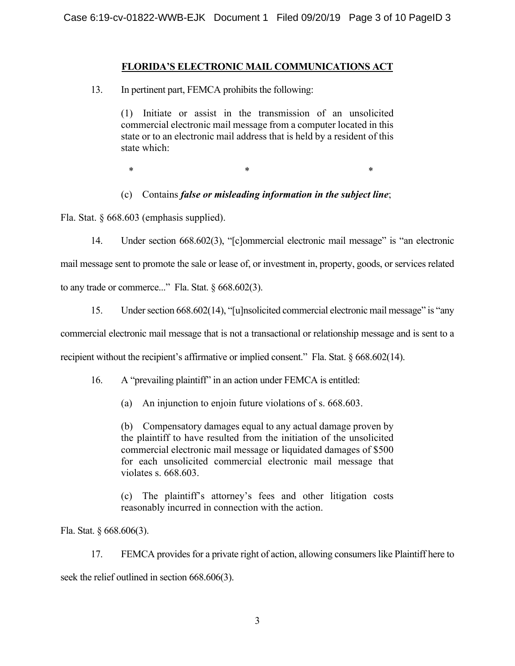# **FLORIDA'S ELECTRONIC MAIL COMMUNICATIONS ACT**

13. In pertinent part, FEMCA prohibits the following:

(1) Initiate or assist in the transmission of an unsolicited commercial electronic mail message from a computer located in this state or to an electronic mail address that is held by a resident of this state which:

 $*$   $*$   $*$ 

(c) Contains *false or misleading information in the subject line*;

Fla. Stat. § 668.603 (emphasis supplied).

14. Under section 668.602(3), "[c]ommercial electronic mail message" is "an electronic mail message sent to promote the sale or lease of, or investment in, property, goods, or services related to any trade or commerce..." Fla. Stat.  $\S 668.602(3)$ .

15. Under section 668.602(14), "[u]nsolicited commercial electronic mail message" is "any commercial electronic mail message that is not a transactional or relationship message and is sent to a recipient without the recipient's affirmative or implied consent." Fla. Stat. § 668.602(14).

16. A "prevailing plaintiff" in an action under FEMCA is entitled:

(a) An injunction to enjoin future violations of s. 668.603.

(b) Compensatory damages equal to any actual damage proven by the plaintiff to have resulted from the initiation of the unsolicited commercial electronic mail message or liquidated damages of \$500 for each unsolicited commercial electronic mail message that violates s. 668.603.

(c) The plaintiff's attorney's fees and other litigation costs reasonably incurred in connection with the action.

Fla. Stat. § 668.606(3).

17. FEMCA provides for a private right of action, allowing consumers like Plaintiff here to seek the relief outlined in section 668.606(3).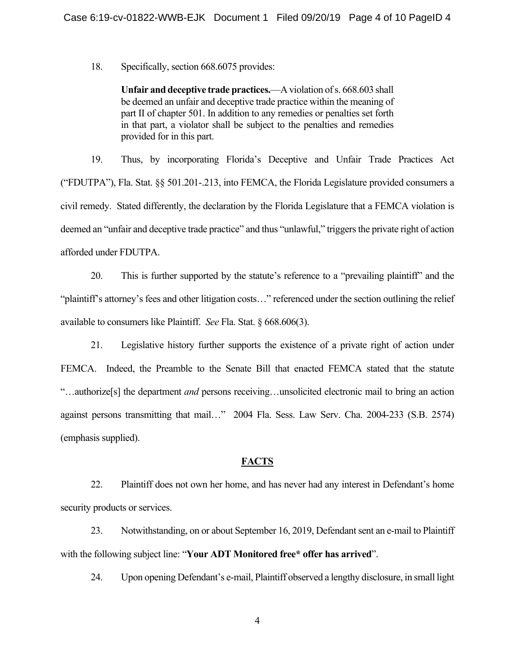18. Specifically, section 668.6075 provides:

**Unfair and deceptive trade practices.**—A violation of s. 668.603 shall be deemed an unfair and deceptive trade practice within the meaning of part II of chapter 501. In addition to any remedies or penalties set forth in that part, a violator shall be subject to the penalties and remedies provided for in this part.

19. Thus, by incorporating Florida's Deceptive and Unfair Trade Practices Act ("FDUTPA"), Fla. Stat. §§ 501.201-.213, into FEMCA, the Florida Legislature provided consumers a civil remedy. Stated differently, the declaration by the Florida Legislature that a FEMCA violation is deemed an "unfair and deceptive trade practice" and thus "unlawful," triggers the private right of action afforded under FDUTPA.

20. This is further supported by the statute's reference to a "prevailing plaintiff" and the "plaintiff's attorney's fees and other litigation costs…" referenced under the section outlining the relief available to consumers like Plaintiff. *See* Fla. Stat. § 668.606(3).

21. Legislative history further supports the existence of a private right of action under FEMCA. Indeed, the Preamble to the Senate Bill that enacted FEMCA stated that the statute "…authorize[s] the department *and* persons receiving…unsolicited electronic mail to bring an action against persons transmitting that mail…" 2004 Fla. Sess. Law Serv. Cha. 2004-233 (S.B. 2574) (emphasis supplied).

## **FACTS**

22. Plaintiff does not own her home, and has never had any interest in Defendant's home security products or services.

23. Notwithstanding, on or about September 16, 2019, Defendant sent an e-mail to Plaintiff with the following subject line: "**Your ADT Monitored free\* offer has arrived**".

24. Upon opening Defendant's e-mail, Plaintiff observed a lengthy disclosure, in small light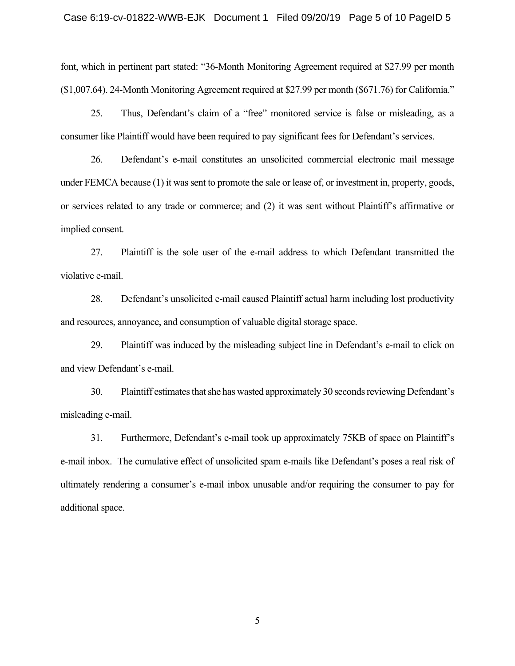font, which in pertinent part stated: "36-Month Monitoring Agreement required at \$27.99 per month (\$1,007.64). 24-Month Monitoring Agreement required at \$27.99 per month (\$671.76) for California."

25. Thus, Defendant's claim of a "free" monitored service is false or misleading, as a consumer like Plaintiff would have been required to pay significant fees for Defendant's services.

26. Defendant's e-mail constitutes an unsolicited commercial electronic mail message under FEMCA because (1) it was sent to promote the sale or lease of, or investment in, property, goods, or services related to any trade or commerce; and (2) it was sent without Plaintiff's affirmative or implied consent.

27. Plaintiff is the sole user of the e-mail address to which Defendant transmitted the violative e-mail.

28. Defendant's unsolicited e-mail caused Plaintiff actual harm including lost productivity and resources, annoyance, and consumption of valuable digital storage space.

29. Plaintiff was induced by the misleading subject line in Defendant's e-mail to click on and view Defendant's e-mail.

30. Plaintiff estimates that she has wasted approximately 30 seconds reviewing Defendant's misleading e-mail.

31. Furthermore, Defendant's e-mail took up approximately 75KB of space on Plaintiff's e-mail inbox. The cumulative effect of unsolicited spam e-mails like Defendant's poses a real risk of ultimately rendering a consumer's e-mail inbox unusable and/or requiring the consumer to pay for additional space.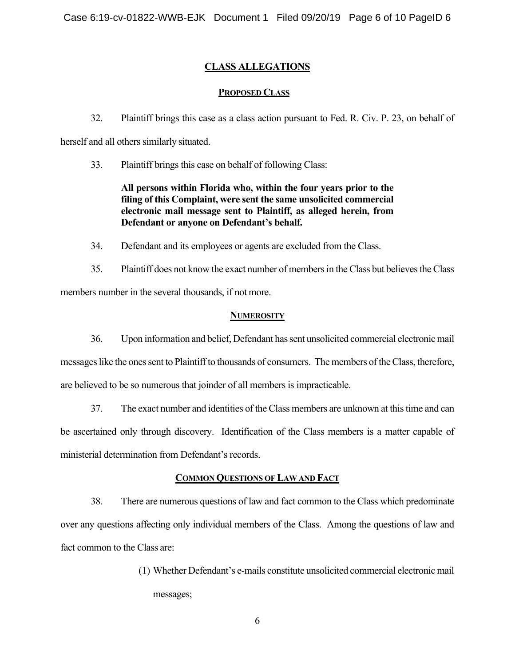# **CLASS ALLEGATIONS**

# **PROPOSED CLASS**

32. Plaintiff brings this case as a class action pursuant to Fed. R. Civ. P. 23, on behalf of

herself and all others similarly situated.

33. Plaintiff brings this case on behalf of following Class:

# **All persons within Florida who, within the four years prior to the filing of this Complaint, were sent the same unsolicited commercial electronic mail message sent to Plaintiff, as alleged herein, from Defendant or anyone on Defendant's behalf.**

- 34. Defendant and its employees or agents are excluded from the Class.
- 35. Plaintiff does not know the exact number of members in the Class but believes the Class members number in the several thousands, if not more.

# **NUMEROSITY**

36. Upon information and belief, Defendant has sent unsolicited commercial electronic mail messages like the ones sent to Plaintiff to thousands of consumers. The members of the Class, therefore,

are believed to be so numerous that joinder of all members is impracticable.

37. The exact number and identities of the Class members are unknown at this time and can

be ascertained only through discovery. Identification of the Class members is a matter capable of

ministerial determination from Defendant's records.

# **COMMON QUESTIONS OF LAW AND FACT**

38. There are numerous questions of law and fact common to the Class which predominate over any questions affecting only individual members of the Class. Among the questions of law and fact common to the Class are:

> (1) Whether Defendant's e-mails constitute unsolicited commercial electronic mail messages;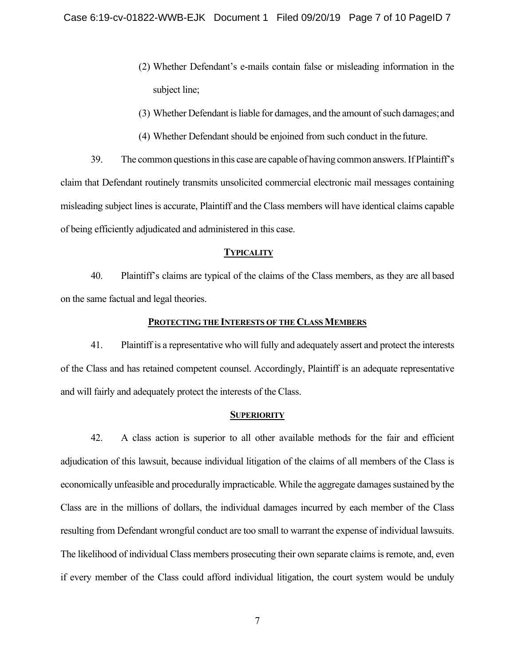- (2) Whether Defendant's e-mails contain false or misleading information in the subject line;
- (3) Whether Defendant is liable for damages, and the amount of such damages; and
- (4) Whether Defendant should be enjoined from such conduct in the future.

39. The common questions in this case are capable of having common answers. If Plaintiff's claim that Defendant routinely transmits unsolicited commercial electronic mail messages containing misleading subject lines is accurate, Plaintiff and the Class members will have identical claims capable of being efficiently adjudicated and administered in this case.

#### **TYPICALITY**

40. Plaintiff's claims are typical of the claims of the Class members, as they are all based on the same factual and legal theories.

#### **PROTECTING THE INTERESTS OF THE CLASS MEMBERS**

41. Plaintiff is a representative who will fully and adequately assert and protect the interests of the Class and has retained competent counsel. Accordingly, Plaintiff is an adequate representative and will fairly and adequately protect the interests of the Class.

#### **SUPERIORITY**

42. A class action is superior to all other available methods for the fair and efficient adjudication of this lawsuit, because individual litigation of the claims of all members of the Class is economically unfeasible and procedurally impracticable. While the aggregate damages sustained by the Class are in the millions of dollars, the individual damages incurred by each member of the Class resulting from Defendant wrongful conduct are too small to warrant the expense of individual lawsuits. The likelihood of individual Class members prosecuting their own separate claims is remote, and, even if every member of the Class could afford individual litigation, the court system would be unduly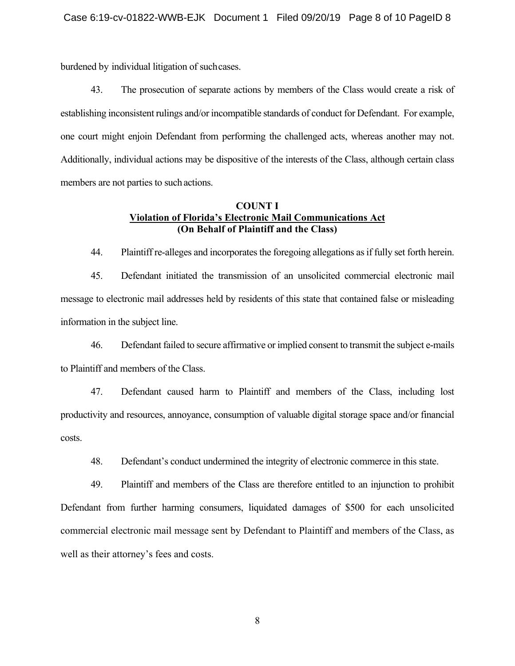burdened by individual litigation of such cases.

43. The prosecution of separate actions by members of the Class would create a risk of establishing inconsistent rulings and/or incompatible standards of conduct for Defendant. For example, one court might enjoin Defendant from performing the challenged acts, whereas another may not. Additionally, individual actions may be dispositive of the interests of the Class, although certain class members are not parties to such actions.

## **COUNT I Violation of Florida's Electronic Mail Communications Act (On Behalf of Plaintiff and the Class)**

44. Plaintiff re-alleges and incorporates the foregoing allegations as if fully set forth herein.

45. Defendant initiated the transmission of an unsolicited commercial electronic mail message to electronic mail addresses held by residents of this state that contained false or misleading information in the subject line.

46. Defendant failed to secure affirmative or implied consent to transmit the subject e-mails to Plaintiff and members of the Class.

47. Defendant caused harm to Plaintiff and members of the Class, including lost productivity and resources, annoyance, consumption of valuable digital storage space and/or financial costs.

48. Defendant's conduct undermined the integrity of electronic commerce in this state.

49. Plaintiff and members of the Class are therefore entitled to an injunction to prohibit Defendant from further harming consumers, liquidated damages of \$500 for each unsolicited commercial electronic mail message sent by Defendant to Plaintiff and members of the Class, as well as their attorney's fees and costs.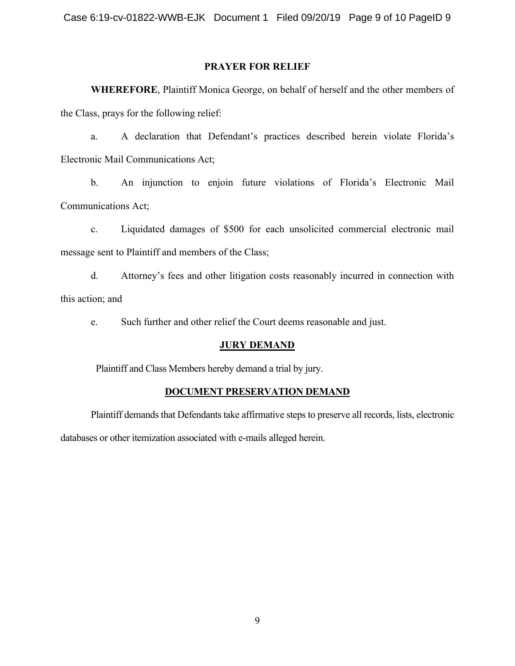## **PRAYER FOR RELIEF**

**WHEREFORE**, Plaintiff Monica George, on behalf of herself and the other members of the Class, prays for the following relief:

a. A declaration that Defendant's practices described herein violate Florida's Electronic Mail Communications Act;

b. An injunction to enjoin future violations of Florida's Electronic Mail Communications Act;

c. Liquidated damages of \$500 for each unsolicited commercial electronic mail message sent to Plaintiff and members of the Class;

d. Attorney's fees and other litigation costs reasonably incurred in connection with this action; and

e. Such further and other relief the Court deems reasonable and just.

## **JURY DEMAND**

Plaintiff and Class Members hereby demand a trial by jury.

## **DOCUMENT PRESERVATION DEMAND**

Plaintiff demands that Defendants take affirmative steps to preserve all records, lists, electronic databases or other itemization associated with e-mails alleged herein.